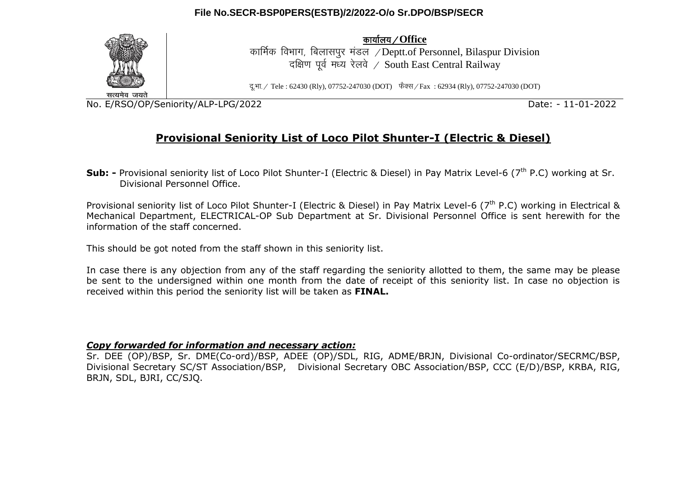

dk;kZy;@**Office**

कार्मिक विभाग, बिलासपर मंडल / Deptt.of Personnel, Bilaspur Division दक्षिण पूर्व मध्य रेलवे / South East Central Railway

दु.भा. / Tele : 62430 (Rly), 07752-247030 (DOT) फैक्स / Fax : 62934 (Rly), 07752-247030 (DOT)

No. E/RSO/OP/Seniority/ALP-LPG/2022 Date: - 11-01-2022

# **Provisional Seniority List of Loco Pilot Shunter-I (Electric & Diesel)**

**Sub: -** Provisional seniority list of Loco Pilot Shunter-I (Electric & Diesel) in Pay Matrix Level-6 (7<sup>th</sup> P.C) working at Sr. Divisional Personnel Office.

Provisional seniority list of Loco Pilot Shunter-I (Electric & Diesel) in Pay Matrix Level-6 (7<sup>th</sup> P.C) working in Electrical & Mechanical Department, ELECTRICAL-OP Sub Department at Sr. Divisional Personnel Office is sent herewith for the information of the staff concerned.

This should be got noted from the staff shown in this seniority list.

In case there is any objection from any of the staff regarding the seniority allotted to them, the same may be please be sent to the undersigned within one month from the date of receipt of this seniority list. In case no objection is received within this period the seniority list will be taken as **FINAL.**

## *Copy forwarded for information and necessary action:*

Sr. DEE (OP)/BSP, Sr. DME(Co-ord)/BSP, ADEE (OP)/SDL, RIG, ADME/BRJN, Divisional Co-ordinator/SECRMC/BSP, Divisional Secretary SC/ST Association/BSP, Divisional Secretary OBC Association/BSP, CCC (E/D)/BSP, KRBA, RIG, BRJN, SDL, BJRI, CC/SJQ.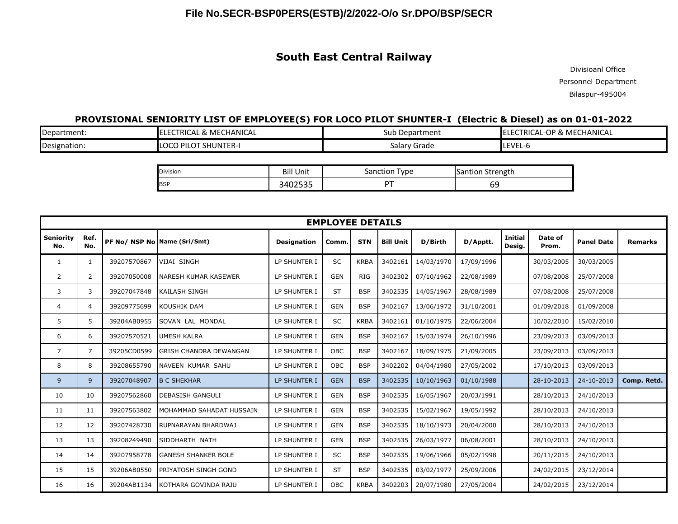## **South East Central Railway**

Divisioanl Office Personnel Department Bilaspur-495004

## **PROVISIONAL SENIORITY LIST OF EMPLOYEE(S) FOR LOCO PILOT SHUNTER-I (Electric & Diesel) as on 01-01-2022**

| Department:  | ECTRICAL & MECHANICAL<br>IEL. | Sub Department    | LECTRICAL-OP<br><sup>2</sup> & MECHANICAL |
|--------------|-------------------------------|-------------------|-------------------------------------------|
| Designation: | <b>ILOCO PILOT SHUNTER-I</b>  | Grade<br>salary C | LEVEL-6                                   |

| Division   | Bill                              | Type     | Strength  |
|------------|-----------------------------------|----------|-----------|
|            | <b>Unit</b>                       | Sanction | "Santion" |
| <b>BSP</b> | $\cap$ $\cap$ $\cap$<br>- 340ZJJJ |          | ັບ        |

| <b>EMPLOYEE DETAILS</b> |                |             |                               |                    |            |             |                  |            |            |                          |                  |                   |                |
|-------------------------|----------------|-------------|-------------------------------|--------------------|------------|-------------|------------------|------------|------------|--------------------------|------------------|-------------------|----------------|
| Seniority<br>No.        | Ref.<br>No.    |             | PF No/ NSP No Name (Sri/Smt)  | <b>Designation</b> | Comm.      | <b>STN</b>  | <b>Bill Unit</b> | D/Birth    | D/Apptt.   | <b>Initial</b><br>Desig. | Date of<br>Prom. | <b>Panel Date</b> | <b>Remarks</b> |
| 1                       | $\mathbf{1}$   | 39207570867 | <b>VIJAI SINGH</b>            | LP SHUNTER I       | SC         | <b>KRBA</b> | 3402161          | 14/03/1970 | 17/09/1996 |                          | 30/03/2005       | 30/03/2005        |                |
| 2                       | 2              | 39207050008 | <b>NARESH KUMAR KASEWER</b>   | LP SHUNTER I       | <b>GEN</b> | <b>RIG</b>  | 3402302          | 07/10/1962 | 22/08/1989 |                          | 07/08/2008       | 25/07/2008        |                |
| 3                       | 3              | 39207047848 | KAILASH SINGH                 | LP SHUNTER I       | <b>ST</b>  | <b>BSP</b>  | 3402535          | 14/05/1967 | 28/08/1989 |                          | 07/08/2008       | 25/07/2008        |                |
| 4                       | 4              | 39209775699 | <b>KOUSHIK DAM</b>            | LP SHUNTER I       | <b>GEN</b> | <b>BSP</b>  | 3402167          | 13/06/1972 | 31/10/2001 |                          | 01/09/2018       | 01/09/2008        |                |
| 5                       | 5              | 39204AB0955 | SOVAN LAL MONDAL              | LP SHUNTER I       | <b>SC</b>  | <b>KRBA</b> | 3402161          | 01/10/1975 | 22/06/2004 |                          | 10/02/2010       | 15/02/2010        |                |
| 6                       | 6              | 39207570521 | UMESH KALRA                   | LP SHUNTER I       | <b>GEN</b> | <b>BSP</b>  | 3402167          | 15/03/1974 | 26/10/1996 |                          | 23/09/2013       | 03/09/2013        |                |
| $\overline{7}$          | $\overline{7}$ | 39205CD0599 | <b>GRISH CHANDRA DEWANGAN</b> | LP SHUNTER I       | OBC        | <b>BSP</b>  | 3402167          | 18/09/1975 | 21/09/2005 |                          | 23/09/2013       | 03/09/2013        |                |
| 8                       | 8              | 39208655790 | NAVEEN KUMAR SAHU             | LP SHUNTER I       | OBC        | <b>BSP</b>  | 3402202          | 04/04/1980 | 27/05/2002 |                          | 17/10/2013       | 03/09/2013        |                |
| 9                       | 9              | 39207048907 | <b>B C SHEKHAR</b>            | LP SHUNTER I       | <b>GEN</b> | <b>BSP</b>  | 3402535          | 10/10/1963 | 01/10/1988 |                          | 28-10-2013       | 24-10-2013        | Comp. Retd.    |
| 10                      | 10             | 39207562860 | <b>DEBASISH GANGULI</b>       | LP SHUNTER I       | <b>GEN</b> | <b>BSP</b>  | 3402535          | 16/05/1967 | 20/03/1991 |                          | 28/10/2013       | 24/10/2013        |                |
| 11                      | 11             | 39207563802 | MOHAMMAD SAHADAT HUSSAIN      | LP SHUNTER I       | <b>GEN</b> | <b>BSP</b>  | 3402535          | 15/02/1967 | 19/05/1992 |                          | 28/10/2013       | 24/10/2013        |                |
| 12                      | 12             | 39207428730 | RUPNARAYAN BHARDWAJ           | LP SHUNTER I       | <b>GEN</b> | <b>BSP</b>  | 3402535          | 18/10/1973 | 20/04/2000 |                          | 28/10/2013       | 24/10/2013        |                |
| 13                      | 13             | 39208249490 | SIDDHARTH NATH                | LP SHUNTER I       | <b>GEN</b> | <b>BSP</b>  | 3402535          | 26/03/1977 | 06/08/2001 |                          | 28/10/2013       | 24/10/2013        |                |
| 14                      | 14             | 39207958778 | <b>GANESH SHANKER BOLE</b>    | LP SHUNTER I       | SC         | <b>BSP</b>  | 3402535          | 19/06/1966 | 05/02/1998 |                          | 20/11/2015       | 24/10/2013        |                |
| 15                      | 15             | 39206AB0550 | PRIYATOSH SINGH GOND          | LP SHUNTER I       | <b>ST</b>  | <b>BSP</b>  | 3402535          | 03/02/1977 | 25/09/2006 |                          | 24/02/2015       | 23/12/2014        |                |
| 16                      | 16             | 39204AB1134 | KOTHARA GOVINDA RAJU          | LP SHUNTER I       | <b>OBC</b> | <b>KRBA</b> | 3402203          | 20/07/1980 | 27/05/2004 |                          | 24/02/2015       | 23/12/2014        |                |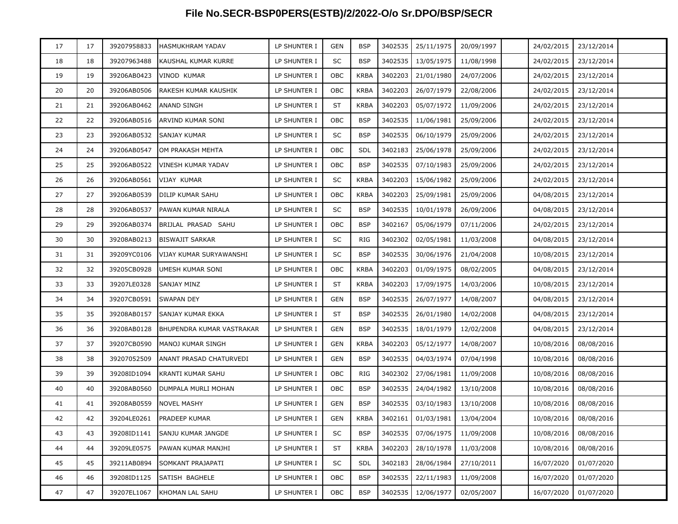| 17 | 17 | 39207958833 | HASMUKHRAM YADAV          | LP SHUNTER I | <b>GEN</b> | <b>BSP</b>  | 3402535 | 25/11/1975                    | 20/09/1997 | 24/02/2015 | 23/12/2014            |  |
|----|----|-------------|---------------------------|--------------|------------|-------------|---------|-------------------------------|------------|------------|-----------------------|--|
| 18 | 18 | 39207963488 | KAUSHAL KUMAR KURRE       | LP SHUNTER I | SC         | <b>BSP</b>  | 3402535 | 13/05/1975                    | 11/08/1998 | 24/02/2015 | 23/12/2014            |  |
| 19 | 19 | 39206AB0423 | VINOD KUMAR               | LP SHUNTER I | OBC        | <b>KRBA</b> | 3402203 | 21/01/1980                    | 24/07/2006 | 24/02/2015 | 23/12/2014            |  |
| 20 | 20 | 39206AB0506 | RAKESH KUMAR KAUSHIK      | LP SHUNTER I | OBC        | <b>KRBA</b> | 3402203 | 26/07/1979                    | 22/08/2006 | 24/02/2015 | 23/12/2014            |  |
| 21 | 21 | 39206AB0462 | ANAND SINGH               | LP SHUNTER I | <b>ST</b>  | <b>KRBA</b> | 3402203 | 05/07/1972                    | 11/09/2006 | 24/02/2015 | 23/12/2014            |  |
| 22 | 22 | 39206AB0516 | ARVIND KUMAR SONI         | LP SHUNTER I | <b>OBC</b> | <b>BSP</b>  | 3402535 | 11/06/1981                    | 25/09/2006 | 24/02/2015 | 23/12/2014            |  |
| 23 | 23 | 39206AB0532 | SANJAY KUMAR              | LP SHUNTER I | SC         | <b>BSP</b>  | 3402535 | 06/10/1979                    | 25/09/2006 | 24/02/2015 | 23/12/2014            |  |
| 24 | 24 | 39206AB0547 | OM PRAKASH MEHTA          | LP SHUNTER I | OBC        | <b>SDL</b>  | 3402183 | 25/06/1978                    | 25/09/2006 | 24/02/2015 | 23/12/2014            |  |
| 25 | 25 | 39206AB0522 | VINESH KUMAR YADAV        | LP SHUNTER I | OBC        | <b>BSP</b>  | 3402535 | 07/10/1983                    | 25/09/2006 | 24/02/2015 | 23/12/2014            |  |
| 26 | 26 | 39206AB0561 | VIJAY KUMAR               | LP SHUNTER I | SC         | <b>KRBA</b> | 3402203 | 15/06/1982                    | 25/09/2006 | 24/02/2015 | 23/12/2014            |  |
| 27 | 27 | 39206AB0539 | DILIP KUMAR SAHU          | LP SHUNTER I | OBC        | <b>KRBA</b> | 3402203 | 25/09/1981                    | 25/09/2006 | 04/08/2015 | 23/12/2014            |  |
| 28 | 28 | 39206AB0537 | PAWAN KUMAR NIRALA        | LP SHUNTER I | SC         | <b>BSP</b>  | 3402535 | 10/01/1978                    | 26/09/2006 | 04/08/2015 | 23/12/2014            |  |
| 29 | 29 | 39206AB0374 | BRIJLAL PRASAD SAHU       | LP SHUNTER I | OBC        | <b>BSP</b>  | 3402167 | 05/06/1979                    | 07/11/2006 | 24/02/2015 | 23/12/2014            |  |
| 30 | 30 | 39208AB0213 | <b>BISWAJIT SARKAR</b>    | LP SHUNTER I | SC         | <b>RIG</b>  | 3402302 | 02/05/1981                    | 11/03/2008 | 04/08/2015 | 23/12/2014            |  |
| 31 | 31 | 39209YC0106 | VIJAY KUMAR SURYAWANSHI   | LP SHUNTER I | SC         | <b>BSP</b>  | 3402535 | 30/06/1976                    | 21/04/2008 | 10/08/2015 | 23/12/2014            |  |
| 32 | 32 | 39205CB0928 | UMESH KUMAR SONI          | LP SHUNTER I | OBC        | <b>KRBA</b> | 3402203 | 01/09/1975                    | 08/02/2005 | 04/08/2015 | 23/12/2014            |  |
| 33 | 33 | 39207LE0328 | SANJAY MINZ               | LP SHUNTER I | <b>ST</b>  | <b>KRBA</b> | 3402203 | 17/09/1975                    | 14/03/2006 | 10/08/2015 | 23/12/2014            |  |
| 34 | 34 | 39207CB0591 | SWAPAN DEY                | LP SHUNTER I | <b>GEN</b> | <b>BSP</b>  | 3402535 | 26/07/1977                    | 14/08/2007 | 04/08/2015 | 23/12/2014            |  |
| 35 | 35 | 39208AB0157 | SANJAY KUMAR EKKA         | LP SHUNTER I | <b>ST</b>  | <b>BSP</b>  | 3402535 | 26/01/1980                    | 14/02/2008 | 04/08/2015 | 23/12/2014            |  |
| 36 | 36 | 39208AB0128 | BHUPENDRA KUMAR VASTRAKAR | LP SHUNTER I | <b>GEN</b> | <b>BSP</b>  | 3402535 | 18/01/1979                    | 12/02/2008 | 04/08/2015 | 23/12/2014            |  |
| 37 | 37 | 39207CB0590 | MANOJ KUMAR SINGH         | LP SHUNTER I | <b>GEN</b> | <b>KRBA</b> | 3402203 | 05/12/1977                    | 14/08/2007 | 10/08/2016 | 08/08/2016            |  |
| 38 | 38 | 39207052509 | ANANT PRASAD CHATURVEDI   | LP SHUNTER I | <b>GEN</b> | <b>BSP</b>  | 3402535 | 04/03/1974                    | 07/04/1998 | 10/08/2016 | 08/08/2016            |  |
| 39 | 39 | 39208ID1094 | KRANTI KUMAR SAHU         | LP SHUNTER I | OBC        | <b>RIG</b>  | 3402302 | 27/06/1981                    | 11/09/2008 | 10/08/2016 | 08/08/2016            |  |
| 40 | 40 | 39208AB0560 | DUMPALA MURLI MOHAN       | LP SHUNTER I | OBC        | <b>BSP</b>  | 3402535 | 24/04/1982                    | 13/10/2008 | 10/08/2016 | 08/08/2016            |  |
| 41 | 41 | 39208AB0559 | NOVEL MASHY               | LP SHUNTER I | <b>GEN</b> | <b>BSP</b>  | 3402535 | 03/10/1983                    | 13/10/2008 | 10/08/2016 | 08/08/2016            |  |
| 42 | 42 | 39204LE0261 | <b>PRADEEP KUMAR</b>      | LP SHUNTER I | GEN        | <b>KRBA</b> |         | 3402161 01/03/1981 13/04/2004 |            |            | 10/08/2016 08/08/2016 |  |
| 43 | 43 | 39208ID1141 | SANJU KUMAR JANGDE        | LP SHUNTER I | SC         | <b>BSP</b>  | 3402535 | 07/06/1975                    | 11/09/2008 | 10/08/2016 | 08/08/2016            |  |
| 44 | 44 | 39209LE0575 | PAWAN KUMAR MANJHI        | LP SHUNTER I | <b>ST</b>  | <b>KRBA</b> | 3402203 | 28/10/1978                    | 11/03/2008 | 10/08/2016 | 08/08/2016            |  |
| 45 | 45 | 39211AB0894 | SOMKANT PRAJAPATI         | LP SHUNTER I | SC         | <b>SDL</b>  | 3402183 | 28/06/1984                    | 27/10/2011 | 16/07/2020 | 01/07/2020            |  |
| 46 | 46 | 39208ID1125 | SATISH BAGHELE            | LP SHUNTER I | OBC        | <b>BSP</b>  | 3402535 | 22/11/1983                    | 11/09/2008 | 16/07/2020 | 01/07/2020            |  |
| 47 | 47 | 39207EL1067 | KHOMAN LAL SAHU           | LP SHUNTER I | OBC        | <b>BSP</b>  | 3402535 | 12/06/1977                    | 02/05/2007 | 16/07/2020 | 01/07/2020            |  |